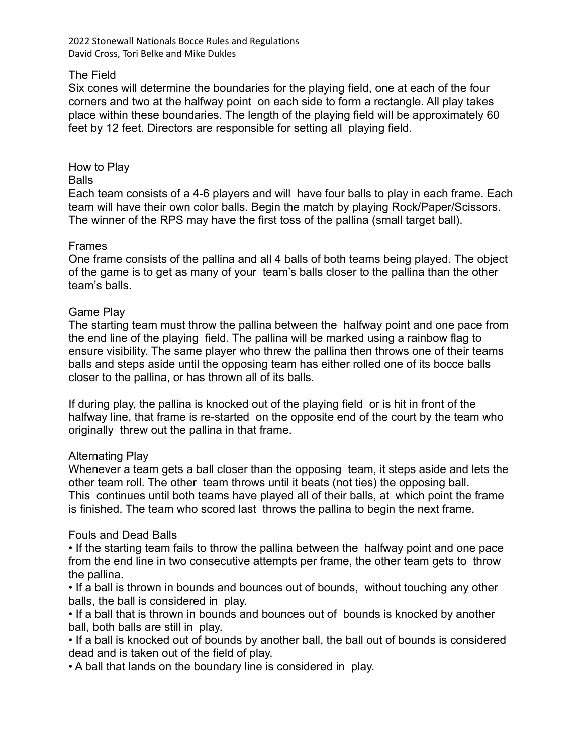2022 Stonewall Nationals Bocce Rules and Regulations David Cross, Tori Belke and Mike Dukles

# The Field

Six cones will determine the boundaries for the playing field, one at each of the four corners and two at the halfway point on each side to form a rectangle. All play takes place within these boundaries. The length of the playing field will be approximately 60 feet by 12 feet. Directors are responsible for setting all playing field.

How to Play Balls

Each team consists of a 4-6 players and will have four balls to play in each frame. Each team will have their own color balls. Begin the match by playing Rock/Paper/Scissors. The winner of the RPS may have the first toss of the pallina (small target ball).

#### Frames

One frame consists of the pallina and all 4 balls of both teams being played. The object of the game is to get as many of your team's balls closer to the pallina than the other team's balls.

#### Game Play

The starting team must throw the pallina between the halfway point and one pace from the end line of the playing field. The pallina will be marked using a rainbow flag to ensure visibility. The same player who threw the pallina then throws one of their teams balls and steps aside until the opposing team has either rolled one of its bocce balls closer to the pallina, or has thrown all of its balls.

If during play, the pallina is knocked out of the playing field or is hit in front of the halfway line, that frame is re-started on the opposite end of the court by the team who originally threw out the pallina in that frame.

#### Alternating Play

Whenever a team gets a ball closer than the opposing team, it steps aside and lets the other team roll. The other team throws until it beats (not ties) the opposing ball. This continues until both teams have played all of their balls, at which point the frame is finished. The team who scored last throws the pallina to begin the next frame.

## Fouls and Dead Balls

• If the starting team fails to throw the pallina between the halfway point and one pace from the end line in two consecutive attempts per frame, the other team gets to throw the pallina.

• If a ball is thrown in bounds and bounces out of bounds, without touching any other balls, the ball is considered in play.

• If a ball that is thrown in bounds and bounces out of bounds is knocked by another ball, both balls are still in play.

• If a ball is knocked out of bounds by another ball, the ball out of bounds is considered dead and is taken out of the field of play.

• A ball that lands on the boundary line is considered in play.